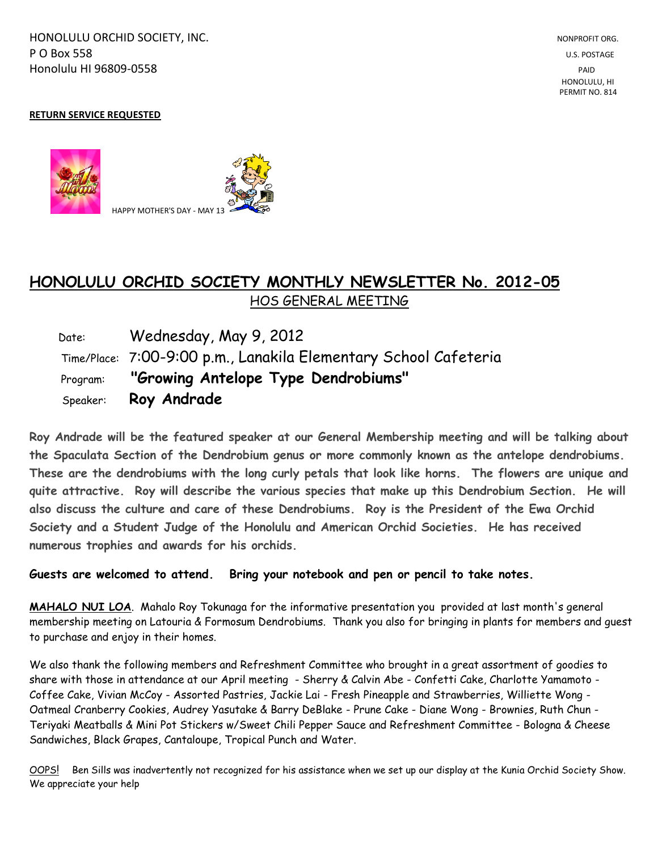HONOLULU ORCHID SOCIETY, INC. NONPROFIT ORG. NONPROFIT ORG. **P O Box 558** U.S. POSTAGE Honolulu HI 96809-0558 PAID

## **RETURN SERVICE REQUESTED**



## **HONOLULU ORCHID SOCIETY MONTHLY NEWSLETTER No. 2012-05**  HOS GENERAL MEETING

 Date: Wednesday, May 9, 2012 Time/Place: 7:00-9:00 p.m., Lanakila Elementary School Cafeteria Program: **"Growing Antelope Type Dendrobiums"** Speaker: **Roy Andrade**

**Roy Andrade will be the featured speaker at our General Membership meeting and will be talking about the Spaculata Section of the Dendrobium genus or more commonly known as the antelope dendrobiums. These are the dendrobiums with the long curly petals that look like horns. The flowers are unique and quite attractive. Roy will describe the various species that make up this Dendrobium Section. He will also discuss the culture and care of these Dendrobiums. Roy is the President of the Ewa Orchid Society and a Student Judge of the Honolulu and American Orchid Societies. He has received numerous trophies and awards for his orchids.**

**Guests are welcomed to attend. Bring your notebook and pen or pencil to take notes.**

**MAHALO NUI LOA**. Mahalo Roy Tokunaga for the informative presentation you provided at last month's general membership meeting on Latouria & Formosum Dendrobiums. Thank you also for bringing in plants for members and guest to purchase and enjoy in their homes.

We also thank the following members and Refreshment Committee who brought in a great assortment of goodies to share with those in attendance at our April meeting - Sherry & Calvin Abe - Confetti Cake, Charlotte Yamamoto - Coffee Cake, Vivian McCoy - Assorted Pastries, Jackie Lai - Fresh Pineapple and Strawberries, Williette Wong - Oatmeal Cranberry Cookies, Audrey Yasutake & Barry DeBlake - Prune Cake - Diane Wong - Brownies, Ruth Chun - Teriyaki Meatballs & Mini Pot Stickers w/Sweet Chili Pepper Sauce and Refreshment Committee - Bologna & Cheese Sandwiches, Black Grapes, Cantaloupe, Tropical Punch and Water.

OOPS! Ben Sills was inadvertently not recognized for his assistance when we set up our display at the Kunia Orchid Society Show. We appreciate your help